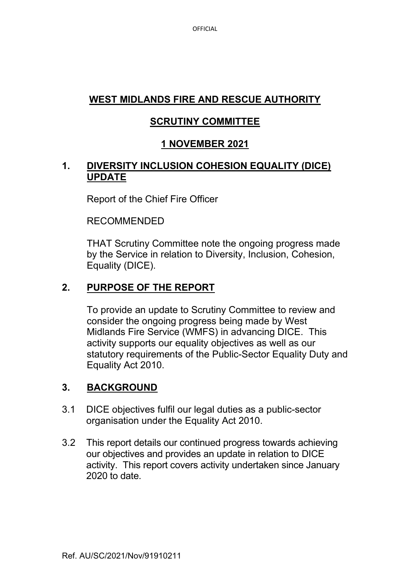# **WEST MIDLANDS FIRE AND RESCUE AUTHORITY**

# **SCRUTINY COMMITTEE**

# **1 NOVEMBER 2021**

### **1. DIVERSITY INCLUSION COHESION EQUALITY (DICE) UPDATE**

Report of the Chief Fire Officer

#### RECOMMENDED

THAT Scrutiny Committee note the ongoing progress made by the Service in relation to Diversity, Inclusion, Cohesion, Equality (DICE).

## **2. PURPOSE OF THE REPORT**

To provide an update to Scrutiny Committee to review and consider the ongoing progress being made by West Midlands Fire Service (WMFS) in advancing DICE. This activity supports our equality objectives as well as our statutory requirements of the Public-Sector Equality Duty and Equality Act 2010.

### **3. BACKGROUND**

- 3.1 DICE objectives fulfil our legal duties as a public-sector organisation under the Equality Act 2010.
- 3.2 This report details our continued progress towards achieving our objectives and provides an update in relation to DICE activity. This report covers activity undertaken since January 2020 to date.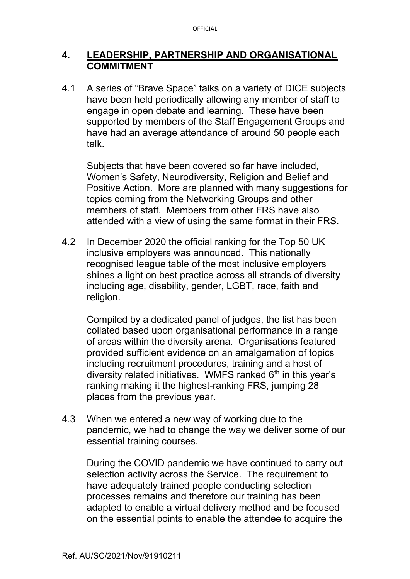### **4. LEADERSHIP, PARTNERSHIP AND ORGANISATIONAL COMMITMENT**

4.1 A series of "Brave Space" talks on a variety of DICE subjects have been held periodically allowing any member of staff to engage in open debate and learning. These have been supported by members of the Staff Engagement Groups and have had an average attendance of around 50 people each talk.

Subjects that have been covered so far have included, Women's Safety, Neurodiversity, Religion and Belief and Positive Action. More are planned with many suggestions for topics coming from the Networking Groups and other members of staff. Members from other FRS have also attended with a view of using the same format in their FRS.

4.2 In December 2020 the official ranking for the Top 50 UK inclusive employers was announced. This nationally recognised league table of the most inclusive employers shines a light on best practice across all strands of diversity including age, disability, gender, LGBT, race, faith and religion.

Compiled by a dedicated panel of judges, the list has been collated based upon organisational performance in a range of areas within the diversity arena. Organisations featured provided sufficient evidence on an amalgamation of topics including recruitment procedures, training and a host of diversity related initiatives. WMFS ranked  $6<sup>th</sup>$  in this year's ranking making it the highest-ranking FRS, jumping 28 places from the previous year.

4.3 When we entered a new way of working due to the pandemic, we had to change the way we deliver some of our essential training courses.

During the COVID pandemic we have continued to carry out selection activity across the Service. The requirement to have adequately trained people conducting selection processes remains and therefore our training has been adapted to enable a virtual delivery method and be focused on the essential points to enable the attendee to acquire the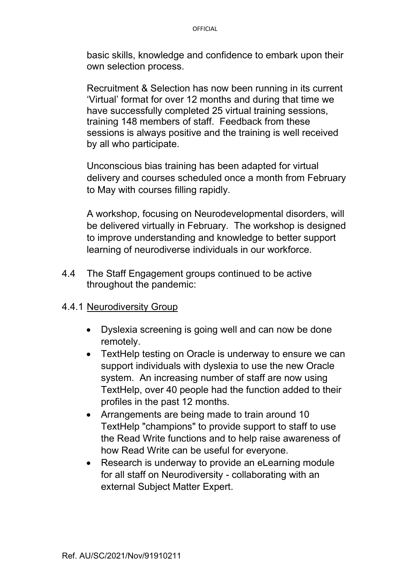basic skills, knowledge and confidence to embark upon their own selection process.

Recruitment & Selection has now been running in its current 'Virtual' format for over 12 months and during that time we have successfully completed 25 virtual training sessions, training 148 members of staff. Feedback from these sessions is always positive and the training is well received by all who participate.

Unconscious bias training has been adapted for virtual delivery and courses scheduled once a month from February to May with courses filling rapidly.

A workshop, focusing on Neurodevelopmental disorders, will be delivered virtually in February. The workshop is designed to improve understanding and knowledge to better support learning of neurodiverse individuals in our workforce.

4.4 The Staff Engagement groups continued to be active throughout the pandemic:

#### 4.4.1 Neurodiversity Group

- Dyslexia screening is going well and can now be done remotely.
- TextHelp testing on Oracle is underway to ensure we can support individuals with dyslexia to use the new Oracle system. An increasing number of staff are now using TextHelp, over 40 people had the function added to their profiles in the past 12 months.
- Arrangements are being made to train around 10 TextHelp "champions" to provide support to staff to use the Read Write functions and to help raise awareness of how Read Write can be useful for everyone.
- Research is underway to provide an eLearning module for all staff on Neurodiversity - collaborating with an external Subject Matter Expert.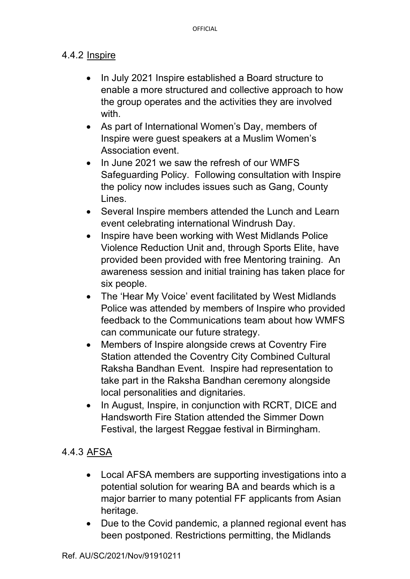#### 4.4.2 Inspire

- In July 2021 Inspire established a Board structure to enable a more structured and collective approach to how the group operates and the activities they are involved with.
- As part of International Women's Day, members of Inspire were guest speakers at a Muslim Women's Association event.
- In June 2021 we saw the refresh of our WMFS Safeguarding Policy. Following consultation with Inspire the policy now includes issues such as Gang, County Lines.
- Several Inspire members attended the Lunch and Learn event celebrating international Windrush Day.
- Inspire have been working with West Midlands Police Violence Reduction Unit and, through Sports Elite, have provided been provided with free Mentoring training. An awareness session and initial training has taken place for six people.
- The 'Hear My Voice' event facilitated by West Midlands Police was attended by members of Inspire who provided feedback to the Communications team about how WMFS can communicate our future strategy.
- Members of Inspire alongside crews at Coventry Fire Station attended the Coventry City Combined Cultural Raksha Bandhan Event. Inspire had representation to take part in the Raksha Bandhan ceremony alongside local personalities and dignitaries.
- In August, Inspire, in conjunction with RCRT, DICE and Handsworth Fire Station attended the Simmer Down Festival, the largest Reggae festival in Birmingham.

## 4.4.3 AFSA

- Local AFSA members are supporting investigations into a potential solution for wearing BA and beards which is a major barrier to many potential FF applicants from Asian heritage.
- Due to the Covid pandemic, a planned regional event has been postponed. Restrictions permitting, the Midlands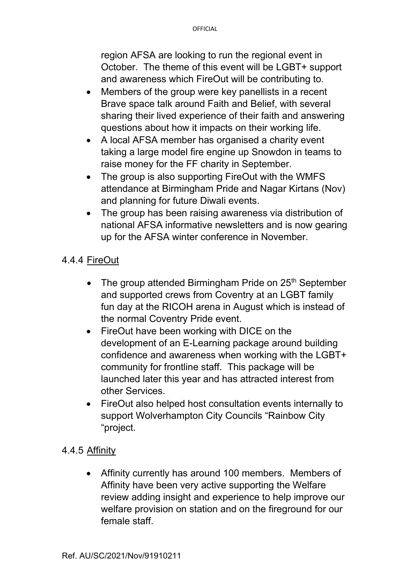region AFSA are looking to run the regional event in October. The theme of this event will be LGBT+ support and awareness which FireOut will be contributing to.

- Members of the group were key panellists in a recent Brave space talk around Faith and Belief, with several sharing their lived experience of their faith and answering questions about how it impacts on their working life.
- A local AFSA member has organised a charity event taking a large model fire engine up Snowdon in teams to raise money for the FF charity in September.
- The group is also supporting FireOut with the WMFS attendance at Birmingham Pride and Nagar Kirtans (Nov) and planning for future Diwali events.
- The group has been raising awareness via distribution of national AFSA informative newsletters and is now gearing up for the AFSA winter conference in November.

## 4.4.4 FireOut

- The group attended Birmingham Pride on  $25<sup>th</sup>$  September and supported crews from Coventry at an LGBT family fun day at the RICOH arena in August which is instead of the normal Coventry Pride event.
- FireOut have been working with DICE on the development of an E-Learning package around building confidence and awareness when working with the LGBT+ community for frontline staff. This package will be launched later this year and has attracted interest from other Services.
- FireOut also helped host consultation events internally to support Wolverhampton City Councils "Rainbow City "project.

### 4.4.5 Affinity

• Affinity currently has around 100 members. Members of Affinity have been very active supporting the Welfare review adding insight and experience to help improve our welfare provision on station and on the fireground for our female staff.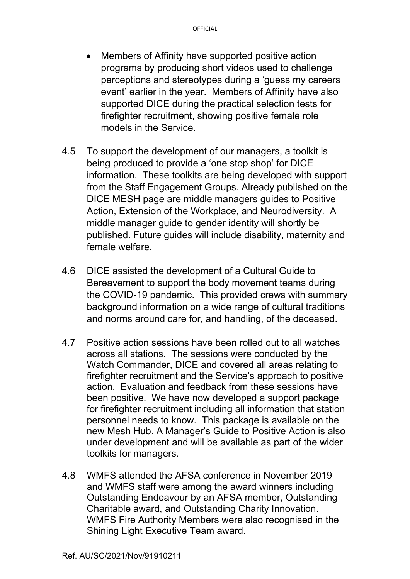- Members of Affinity have supported positive action programs by producing short videos used to challenge perceptions and stereotypes during a 'guess my careers event' earlier in the year. Members of Affinity have also supported DICE during the practical selection tests for firefighter recruitment, showing positive female role models in the Service.
- 4.5 To support the development of our managers, a toolkit is being produced to provide a 'one stop shop' for DICE information. These toolkits are being developed with support from the Staff Engagement Groups. Already published on the DICE MESH page are middle managers guides to Positive Action, Extension of the Workplace, and Neurodiversity. A middle manager guide to gender identity will shortly be published. Future guides will include disability, maternity and female welfare.
- 4.6 DICE assisted the development of a Cultural Guide to Bereavement to support the body movement teams during the COVID-19 pandemic. This provided crews with summary background information on a wide range of cultural traditions and norms around care for, and handling, of the deceased.
- 4.7 Positive action sessions have been rolled out to all watches across all stations. The sessions were conducted by the Watch Commander, DICE and covered all areas relating to firefighter recruitment and the Service's approach to positive action. Evaluation and feedback from these sessions have been positive. We have now developed a support package for firefighter recruitment including all information that station personnel needs to know. This package is available on the new Mesh Hub. A Manager's Guide to Positive Action is also under development and will be available as part of the wider toolkits for managers.
- 4.8 WMFS attended the AFSA conference in November 2019 and WMFS staff were among the award winners including Outstanding Endeavour by an AFSA member, Outstanding Charitable award, and Outstanding Charity Innovation. WMFS Fire Authority Members were also recognised in the Shining Light Executive Team award.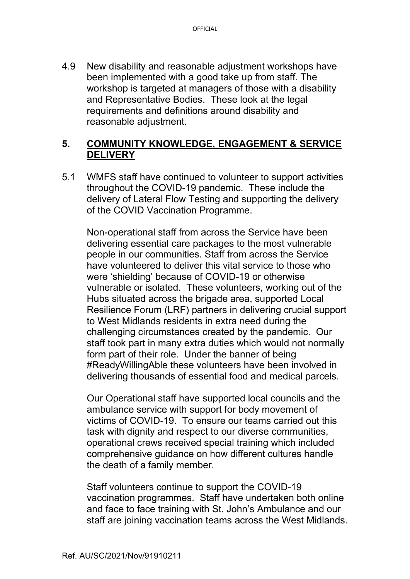4.9 New disability and reasonable adjustment workshops have been implemented with a good take up from staff. The workshop is targeted at managers of those with a disability and Representative Bodies. These look at the legal requirements and definitions around disability and reasonable adjustment.

### **5. COMMUNITY KNOWLEDGE, ENGAGEMENT & SERVICE DELIVERY**

5.1 WMFS staff have continued to volunteer to support activities throughout the COVID-19 pandemic. These include the delivery of Lateral Flow Testing and supporting the delivery of the COVID Vaccination Programme.

Non-operational staff from across the Service have been delivering essential care packages to the most vulnerable people in our communities. Staff from across the Service have volunteered to deliver this vital service to those who were 'shielding' because of COVID-19 or otherwise vulnerable or isolated. These volunteers, working out of the Hubs situated across the brigade area, supported Local Resilience Forum (LRF) partners in delivering crucial support to West Midlands residents in extra need during the challenging circumstances created by the pandemic. Our staff took part in many extra duties which would not normally form part of their role. Under the banner of being #ReadyWillingAble these volunteers have been involved in delivering thousands of essential food and medical parcels.

Our Operational staff have supported local councils and the ambulance service with support for body movement of victims of COVID-19. To ensure our teams carried out this task with dignity and respect to our diverse communities, operational crews received special training which included comprehensive guidance on how different cultures handle the death of a family member.

Staff volunteers continue to support the COVID-19 vaccination programmes. Staff have undertaken both online and face to face training with St. John's Ambulance and our staff are joining vaccination teams across the West Midlands.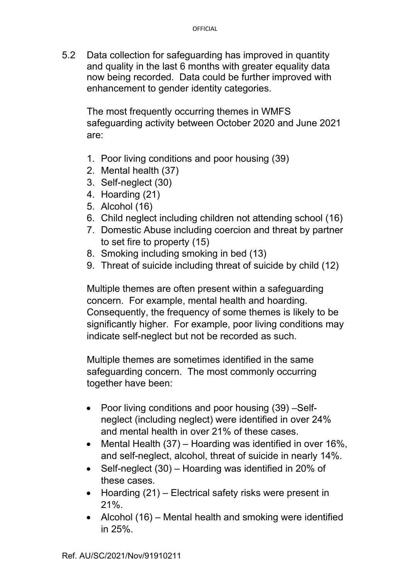5.2 Data collection for safeguarding has improved in quantity and quality in the last 6 months with greater equality data now being recorded. Data could be further improved with enhancement to gender identity categories.

The most frequently occurring themes in WMFS safeguarding activity between October 2020 and June 2021 are:

- 1. Poor living conditions and poor housing (39)
- 2. Mental health (37)
- 3. Self-neglect (30)
- 4. Hoarding (21)
- 5. Alcohol (16)
- 6. Child neglect including children not attending school (16)
- 7. Domestic Abuse including coercion and threat by partner to set fire to property (15)
- 8. Smoking including smoking in bed (13)
- 9. Threat of suicide including threat of suicide by child (12)

Multiple themes are often present within a safeguarding concern. For example, mental health and hoarding. Consequently, the frequency of some themes is likely to be significantly higher. For example, poor living conditions may indicate self-neglect but not be recorded as such.

Multiple themes are sometimes identified in the same safeguarding concern. The most commonly occurring together have been:

- Poor living conditions and poor housing (39) Selfneglect (including neglect) were identified in over 24% and mental health in over 21% of these cases.
- Mental Health (37) Hoarding was identified in over 16%, and self-neglect, alcohol, threat of suicide in nearly 14%.
- Self-neglect (30) Hoarding was identified in 20% of these cases.
- Hoarding (21) Electrical safety risks were present in 21%.
- Alcohol (16) Mental health and smoking were identified in 25%.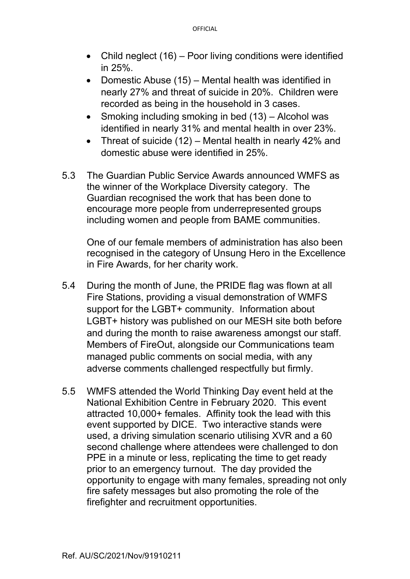- Child neglect (16) Poor living conditions were identified in 25%.
- Domestic Abuse (15) Mental health was identified in nearly 27% and threat of suicide in 20%. Children were recorded as being in the household in 3 cases.
- Smoking including smoking in bed (13) Alcohol was identified in nearly 31% and mental health in over 23%.
- Threat of suicide (12) Mental health in nearly 42% and domestic abuse were identified in 25%.
- 5.3 The Guardian Public Service Awards announced WMFS as the winner of the Workplace Diversity category. The Guardian recognised the work that has been done to encourage more people from underrepresented groups including women and people from BAME communities.

 One of our female members of administration has also been recognised in the category of Unsung Hero in the Excellence in Fire Awards, for her charity work.

- 5.4 During the month of June, the PRIDE flag was flown at all Fire Stations, providing a visual demonstration of WMFS support for the LGBT+ community. Information about LGBT+ history was published on our MESH site both before and during the month to raise awareness amongst our staff. Members of FireOut, alongside our Communications team managed public comments on social media, with any adverse comments challenged respectfully but firmly.
- 5.5 WMFS attended the World Thinking Day event held at the National Exhibition Centre in February 2020. This event attracted 10,000+ females. Affinity took the lead with this event supported by DICE. Two interactive stands were used, a driving simulation scenario utilising XVR and a 60 second challenge where attendees were challenged to don PPE in a minute or less, replicating the time to get ready prior to an emergency turnout. The day provided the opportunity to engage with many females, spreading not only fire safety messages but also promoting the role of the firefighter and recruitment opportunities.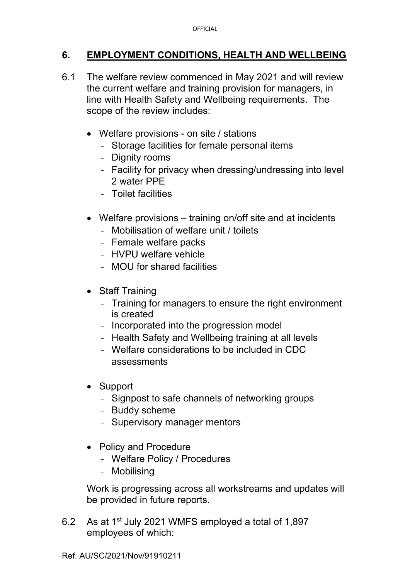## **6. EMPLOYMENT CONDITIONS, HEALTH AND WELLBEING**

- 6.1 The welfare review commenced in May 2021 and will review the current welfare and training provision for managers, in line with Health Safety and Wellbeing requirements. The scope of the review includes:
	- Welfare provisions on site / stations
		- Storage facilities for female personal items
		- Dignity rooms
		- Facility for privacy when dressing/undressing into level 2 water PPE
		- Toilet facilities
	- Welfare provisions training on/off site and at incidents
		- Mobilisation of welfare unit / toilets
		- Female welfare packs
		- HVPU welfare vehicle
		- MOU for shared facilities
	- Staff Training
		- Training for managers to ensure the right environment is created
		- Incorporated into the progression model
		- Health Safety and Wellbeing training at all levels
		- Welfare considerations to be included in CDC assessments
	- Support
		- Signpost to safe channels of networking groups
		- Buddy scheme
		- Supervisory manager mentors
	- Policy and Procedure
		- Welfare Policy / Procedures
		- Mobilising

Work is progressing across all workstreams and updates will be provided in future reports.

6.2 As at 1st July 2021 WMFS employed a total of 1,897 employees of which: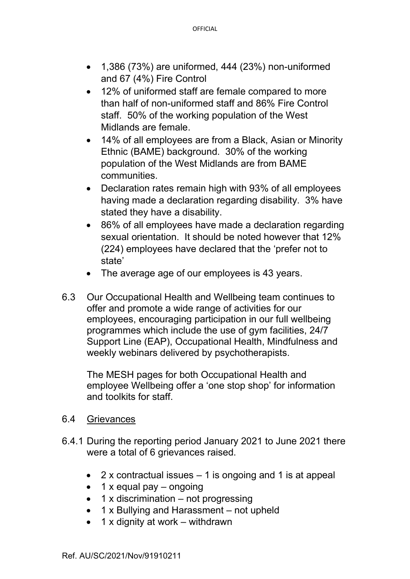- 1,386 (73%) are uniformed, 444 (23%) non-uniformed and 67 (4%) Fire Control
- 12% of uniformed staff are female compared to more than half of non-uniformed staff and 86% Fire Control staff. 50% of the working population of the West Midlands are female.
- 14% of all employees are from a Black, Asian or Minority Ethnic (BAME) background. 30% of the working population of the West Midlands are from BAME communities.
- Declaration rates remain high with 93% of all employees having made a declaration regarding disability. 3% have stated they have a disability.
- 86% of all employees have made a declaration regarding sexual orientation. It should be noted however that 12% (224) employees have declared that the 'prefer not to state'
- The average age of our employees is 43 years.
- 6.3 Our Occupational Health and Wellbeing team continues to offer and promote a wide range of activities for our employees, encouraging participation in our full wellbeing programmes which include the use of gym facilities, 24/7 Support Line (EAP), Occupational Health, Mindfulness and weekly webinars delivered by psychotherapists.

The MESH pages for both Occupational Health and employee Wellbeing offer a 'one stop shop' for information and toolkits for staff.

#### 6.4 Grievances

- 6.4.1 During the reporting period January 2021 to June 2021 there were a total of 6 grievances raised.
	- 2 x contractual issues  $-1$  is ongoing and 1 is at appeal
	- $\bullet$  1 x equal pay ongoing
	- 1 x discrimination not progressing
	- 1 x Bullying and Harassment not upheld
	- $\bullet$  1 x dignity at work withdrawn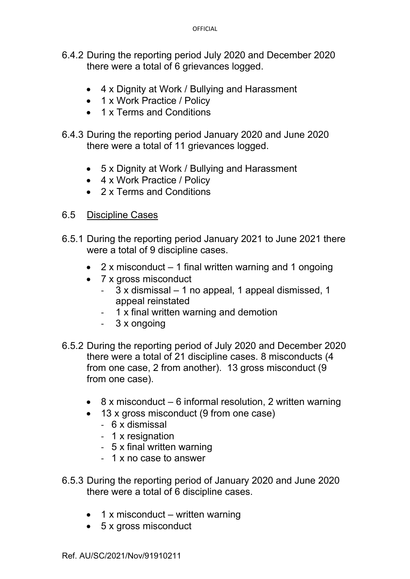- 6.4.2 During the reporting period July 2020 and December 2020 there were a total of 6 grievances logged.
	- 4 x Dignity at Work / Bullying and Harassment
	- 1 x Work Practice / Policy
	- 1 x Terms and Conditions
- 6.4.3 During the reporting period January 2020 and June 2020 there were a total of 11 grievances logged.
	- 5 x Dignity at Work / Bullying and Harassment
	- 4 x Work Practice / Policy
	- 2 x Terms and Conditions

#### 6.5 Discipline Cases

- 6.5.1 During the reporting period January 2021 to June 2021 there were a total of 9 discipline cases.
	- 2 x misconduct  $-1$  final written warning and 1 ongoing
	- 7 x gross misconduct
		- 3 x dismissal 1 no appeal, 1 appeal dismissed, 1 appeal reinstated
		- 1 x final written warning and demotion
		- 3 x ongoing
- 6.5.2 During the reporting period of July 2020 and December 2020 there were a total of 21 discipline cases. 8 misconducts (4 from one case, 2 from another). 13 gross misconduct (9 from one case).
	- 8 x misconduct 6 informal resolution, 2 written warning
	- 13 x gross misconduct (9 from one case)
		- 6 x dismissal
		- 1 x resignation
		- 5 x final written warning
		- 1 x no case to answer
- 6.5.3 During the reporting period of January 2020 and June 2020 there were a total of 6 discipline cases.
	- $\bullet$  1 x misconduct written warning
	- 5 x gross misconduct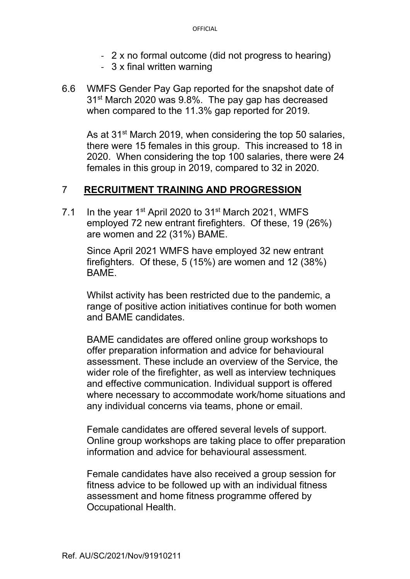- 2 x no formal outcome (did not progress to hearing)
- 3 x final written warning
- 6.6 WMFS Gender Pay Gap reported for the snapshot date of 31<sup>st</sup> March 2020 was 9.8%. The pay gap has decreased when compared to the 11.3% gap reported for 2019.

As at 31<sup>st</sup> March 2019, when considering the top 50 salaries, there were 15 females in this group. This increased to 18 in 2020. When considering the top 100 salaries, there were 24 females in this group in 2019, compared to 32 in 2020.

### 7 **RECRUITMENT TRAINING AND PROGRESSION**

7.1 In the year  $1<sup>st</sup>$  April 2020 to  $31<sup>st</sup>$  March 2021, WMFS employed 72 new entrant firefighters. Of these, 19 (26%) are women and 22 (31%) BAME.

Since April 2021 WMFS have employed 32 new entrant firefighters. Of these, 5 (15%) are women and 12 (38%) BAME.

Whilst activity has been restricted due to the pandemic, a range of positive action initiatives continue for both women and BAME candidates.

BAME candidates are offered online group workshops to offer preparation information and advice for behavioural assessment. These include an overview of the Service, the wider role of the firefighter, as well as interview techniques and effective communication. Individual support is offered where necessary to accommodate work/home situations and any individual concerns via teams, phone or email.

Female candidates are offered several levels of support. Online group workshops are taking place to offer preparation information and advice for behavioural assessment.

Female candidates have also received a group session for fitness advice to be followed up with an individual fitness assessment and home fitness programme offered by Occupational Health.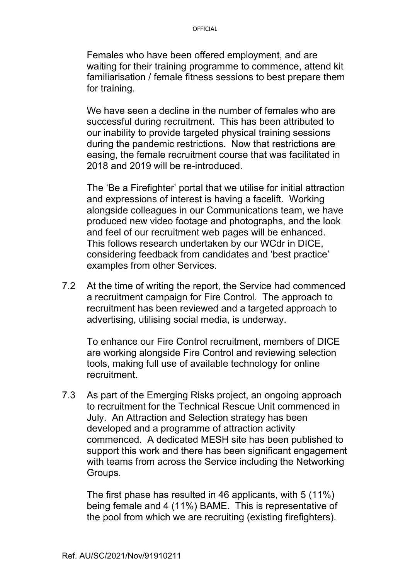Females who have been offered employment, and are waiting for their training programme to commence, attend kit familiarisation / female fitness sessions to best prepare them for training.

We have seen a decline in the number of females who are successful during recruitment. This has been attributed to our inability to provide targeted physical training sessions during the pandemic restrictions. Now that restrictions are easing, the female recruitment course that was facilitated in 2018 and 2019 will be re-introduced.

The 'Be a Firefighter' portal that we utilise for initial attraction and expressions of interest is having a facelift. Working alongside colleagues in our Communications team, we have produced new video footage and photographs, and the look and feel of our recruitment web pages will be enhanced. This follows research undertaken by our WCdr in DICE, considering feedback from candidates and 'best practice' examples from other Services.

7.2 At the time of writing the report, the Service had commenced a recruitment campaign for Fire Control. The approach to recruitment has been reviewed and a targeted approach to advertising, utilising social media, is underway.

To enhance our Fire Control recruitment, members of DICE are working alongside Fire Control and reviewing selection tools, making full use of available technology for online recruitment.

7.3 As part of the Emerging Risks project, an ongoing approach to recruitment for the Technical Rescue Unit commenced in July. An Attraction and Selection strategy has been developed and a programme of attraction activity commenced. A dedicated MESH site has been published to support this work and there has been significant engagement with teams from across the Service including the Networking Groups.

The first phase has resulted in 46 applicants, with 5 (11%) being female and 4 (11%) BAME. This is representative of the pool from which we are recruiting (existing firefighters).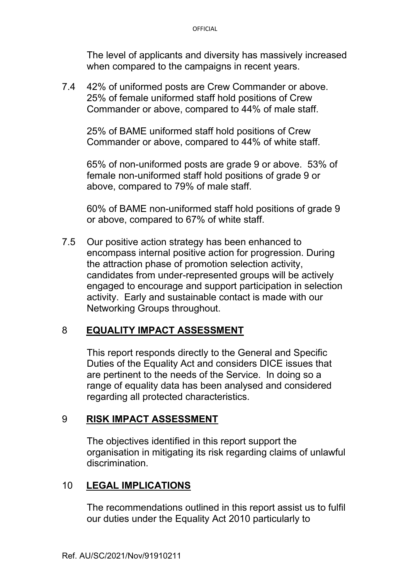The level of applicants and diversity has massively increased when compared to the campaigns in recent years.

7.4 42% of uniformed posts are Crew Commander or above. 25% of female uniformed staff hold positions of Crew Commander or above, compared to 44% of male staff.

25% of BAME uniformed staff hold positions of Crew Commander or above, compared to 44% of white staff.

65% of non-uniformed posts are grade 9 or above. 53% of female non-uniformed staff hold positions of grade 9 or above, compared to 79% of male staff.

60% of BAME non-uniformed staff hold positions of grade 9 or above, compared to 67% of white staff.

7.5 Our positive action strategy has been enhanced to encompass internal positive action for progression. During the attraction phase of promotion selection activity, candidates from under-represented groups will be actively engaged to encourage and support participation in selection activity. Early and sustainable contact is made with our Networking Groups throughout.

### 8 **EQUALITY IMPACT ASSESSMENT**

This report responds directly to the General and Specific Duties of the Equality Act and considers DICE issues that are pertinent to the needs of the Service. In doing so a range of equality data has been analysed and considered regarding all protected characteristics.

### 9 **RISK IMPACT ASSESSMENT**

The objectives identified in this report support the organisation in mitigating its risk regarding claims of unlawful discrimination.

#### 10 **LEGAL IMPLICATIONS**

The recommendations outlined in this report assist us to fulfil our duties under the Equality Act 2010 particularly to